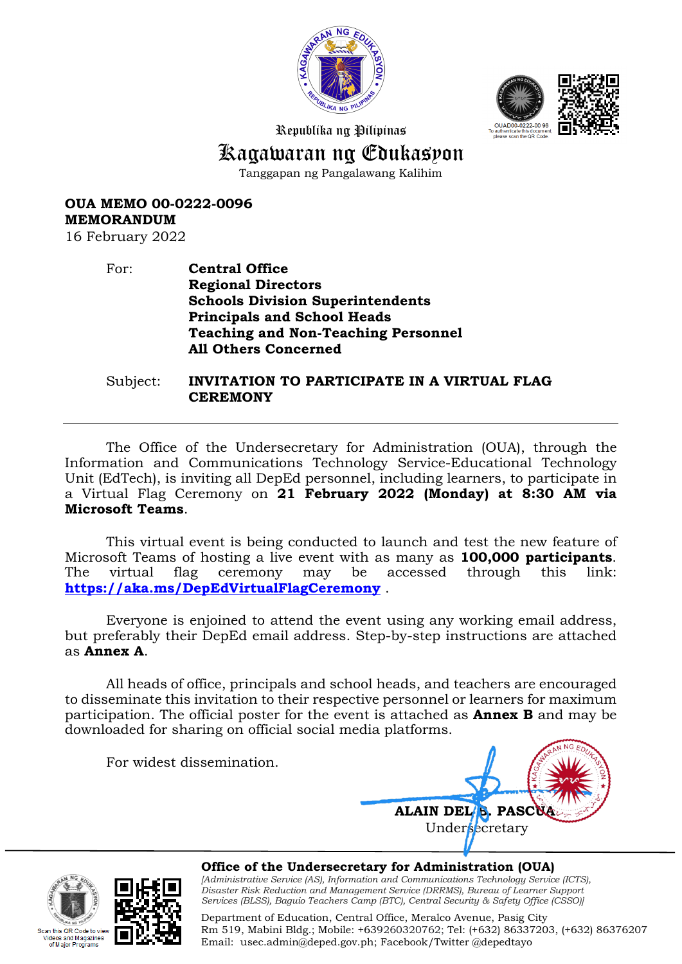



Republika ng Pilipinas

# Kagawaran ng Edukasyon

Tanggapan ng Pangalawang Kalihim

**OUA MEMO 00-0222-0096 MEMORANDUM**

16 February 2022

### For: **Central Office Regional Directors Schools Division Superintendents Principals and School Heads Teaching and Non-Teaching Personnel All Others Concerned**

Subject: **INVITATION TO PARTICIPATE IN A VIRTUAL FLAG CEREMONY** 

The Office of the Undersecretary for Administration (OUA), through the Information and Communications Technology Service-Educational Technology Unit (EdTech), is inviting all DepEd personnel, including learners, to participate in a Virtual Flag Ceremony on **21 February 2022 (Monday) at 8:30 AM via Microsoft Teams**.

This virtual event is being conducted to launch and test the new feature of Microsoft Teams of hosting a live event with as many as **100,000 participants**. The virtual flag ceremony may be accessed through this link: **<https://aka.ms/DepEdVirtualFlagCeremony>** .

Everyone is enjoined to attend the event using any working email address, but preferably their DepEd email address. Step-by-step instructions are attached as **Annex A**.

All heads of office, principals and school heads, and teachers are encouraged to disseminate this invitation to their respective personnel or learners for maximum participation. The official poster for the event is attached as **Annex B** and may be downloaded for sharing on official social media platforms.

For widest dissemination.







**Office of the Undersecretary for Administration (OUA)** *[Administrative Service (AS), Information and Communications Technology Service (ICTS), Disaster Risk Reduction and Management Service (DRRMS), Bureau of Learner Support Services (BLSS), Baguio Teachers Camp (BTC), Central Security & Safety Office (CSSO)]*

Department of Education, Central Office, Meralco Avenue, Pasig City Rm 519, Mabini Bldg.; Mobile: +639260320762; Tel: (+632) 86337203, (+632) 86376207 Email: [usec.admin@deped.gov.ph;](mailto:usec.admin@deped.gov.ph) Facebook/Twitter @depedtayo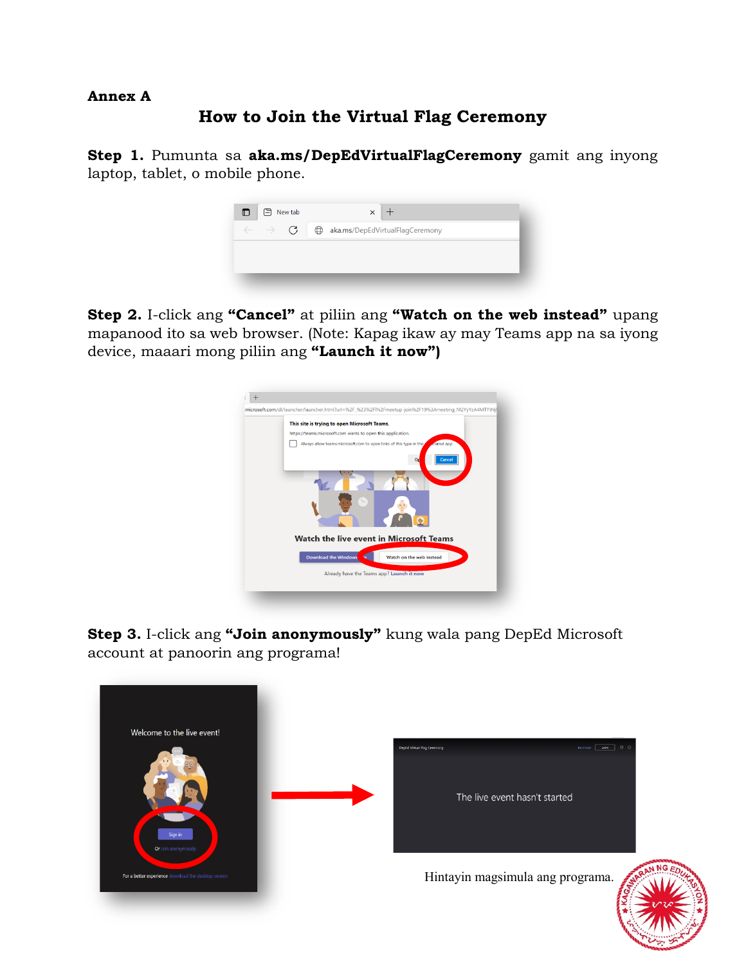### **Annex A**

## **How to Join the Virtual Flag Ceremony**

**Step 1.** Pumunta sa **aka.ms/DepEdVirtualFlagCeremony** gamit ang inyong laptop, tablet, o mobile phone.



**Step 2.** I-click ang **"Cancel"** at piliin ang **"Watch on the web instead"** upang mapanood ito sa web browser. (Note: Kapag ikaw ay may Teams app na sa iyong device, maaari mong piliin ang **"Launch it now")**



**Step 3.** I-click ang **"Join anonymously"** kung wala pang DepEd Microsoft account at panoorin ang programa!